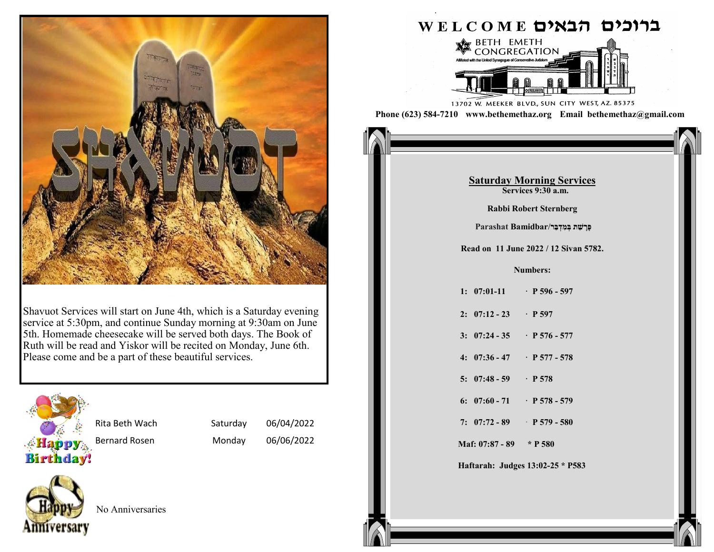

Shavuot Services will start on June 4th, which is a Saturday evening service at 5:30pm, and continue Sunday morning at 9:30am on June 5th. Homemade cheesecake will be served both days. The Book of Ruth will be read and Yiskor will be recited on Monday, June 6th. Please come and be a part of these beautiful services.



Rita Beth Wach Saturday 06/04/2022

Bernard Rosen Monday 06/06/2022



No Anniversaries

# ערוכים הבאים WELCOME



13702 W. MEEKER BLVD., SUN CITY WEST, AZ. 85375 **Phone (623) 584-7210 www.bethemethaz.org Email bethemethaz@gmail.com**

> **Saturday Morning Services Services 9:30 a.m.**

#### **Saturday Morning Services Saturday Morning Services Saturday Morning Services Services 9:30 a.m.**

**Read on** *27* **November 2021** *Debbi Debeut Steunberg* **2021 Services** 9:30 a.m. **Rabbi Robert Sternberg** 

**1: 37:1-11 · pp 141 - 142 פָּרָּ שַׁ ת בְׁ מִּ דְׁ בַׁ ר/Bamidbar Parashat**

**2022 12518 11***3***<b>11***8* **2022** *7* **12 518 1 Read on 11 June 2022** / **12 Sivan 5782.** 

## **1: 36:20 - 30 · P 377 - 378 Numbers:**

| 1: $07:01-11$ P 596 - 597           |  |
|-------------------------------------|--|
| 2: $07:12 - 23$ P 597               |  |
| 3: $07:24 - 35$ P 576 - 577         |  |
| 4: $07:36 - 47$ P 577 - 578         |  |
| 5: $07:48 - 59$ P 578               |  |
| 6: $07:60 - 71$ P 578 - 579         |  |
| 7: $07:72 - 89$ P 579 - 580         |  |
| Maf: $07:87 - 89 \rightarrow P 580$ |  |

**Haftarah: I Kings 7: 40-50 \* P382 Haftarah: Judges 13:02-25 \* P583**